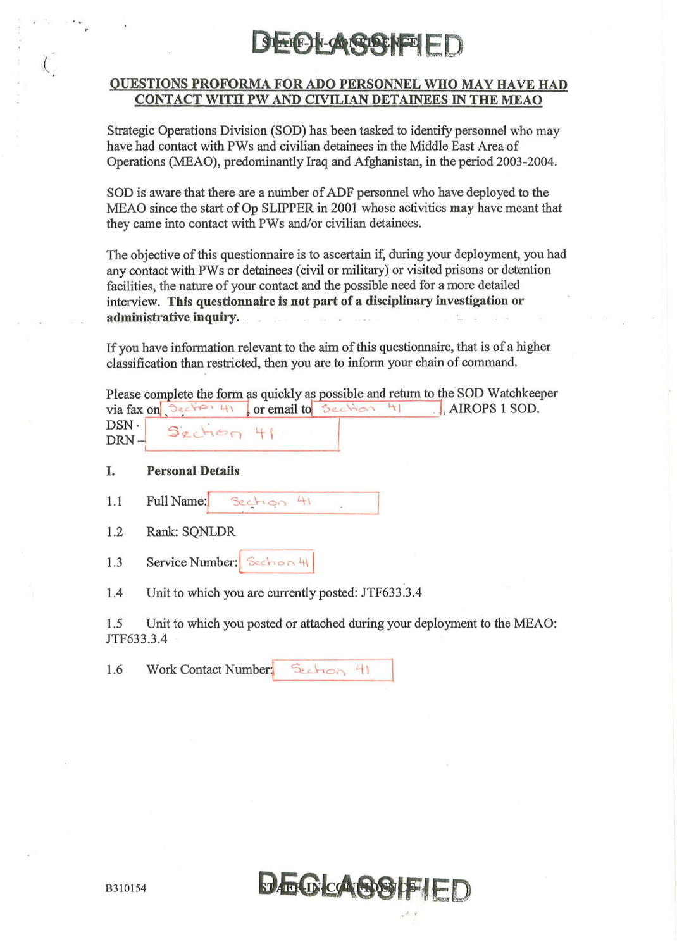### **AHE-IN-CONTINE**

#### QUESTIONS PROFORMA FOR ADO PERSONNEL WHO MAY HAVE HAD CONTACT WITH PW AND CIVILIAN DETAINEES IN THE MEAO

Strategic Operations Division (SOD) has been tasked to identify personnel who may have had contact with PWs and civilian detainees in the Middle East Area of Operations (MEAO), predominantly Iraq and Afghanistan, in the period 2003-2004.

SOD is aware that there are a number of ADF personnel who have deployed to the MEAO since the start of Op SLIPPER in 2001 whose activities may have meant that they came into contact with PWs and/or civilian detainees.

The objective of this questionnaire is to ascertain if, during your deployment, you had any contact with PWs or detainees (civil or military) or visited prisons or detention facilities, the nature of your contact and the possible need for a more detailed interview. This questionnaire is not part of a disciplinary investigation or administrative inquiry.

If you have information relevant to the aim of this questionnaire, that is of a higher classification than restricted, then you are to inform your chain of command.

|         |          |  | Please complete the form as quickly as possible and return to the SOD Watchkeeper |
|---------|----------|--|-----------------------------------------------------------------------------------|
|         |          |  | $via$ fax on $Section 41$ or email to $Section 41$ . AIROPS 1 SOD.                |
| DSN -   | SzchopH1 |  |                                                                                   |
| $DRN -$ |          |  |                                                                                   |

I. Personal Details

 $\cdot$  .

(

 $1.1$ Full Name:  $41$ Section

1.2 Rank: SQNLDR

 $1.3$  Service Number:  $5e<sub>con</sub> \cup 41$ 

1.4 Unit to which you are currently posted: JTF633.3.4

1.5 Unit to which you posted or attached during your deployment to the MEAO: JTF633.3.4

1.6 Work Contact Number: Section 41

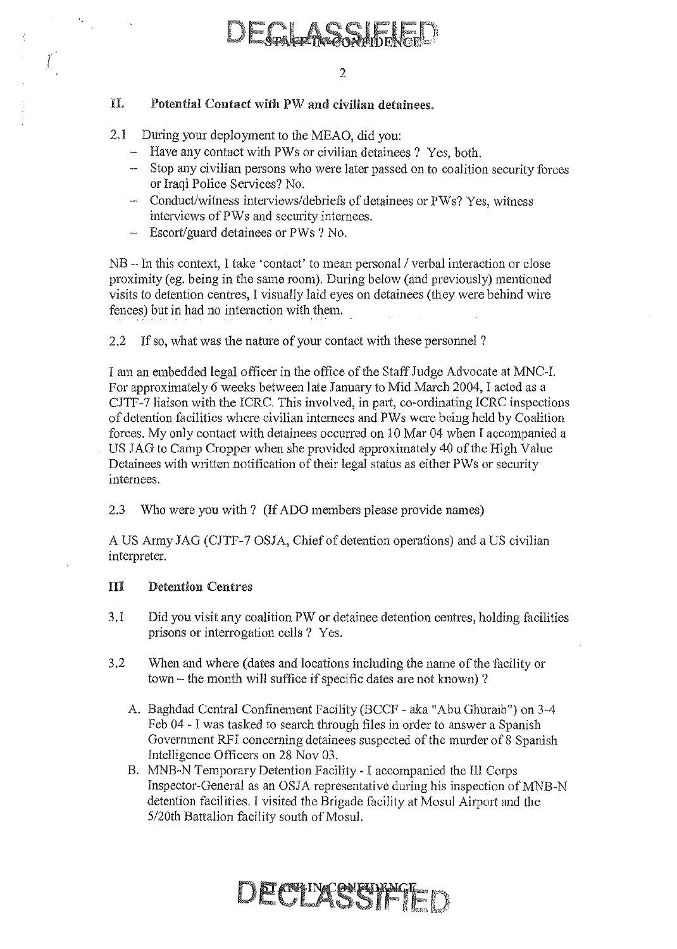#### n. Potential Contact with PW and civilian detainees.

2.1 During your deployment to the MEAO, did you:

 $\overline{I}$ 

- Have any contact with PWs or civilian detainees ? Yes, both.
- Stop any civilian persons who were later passed on to coalition security forces or Iraqi Police Services? No.
- Conduct/witness interviews/debriefs of detainees or PWs? Yes, witness interviews of PWs and security internees.
- **Escort/guard detainees or PWs ? No.**

 $NB - In this context, I take 'contact' to mean personal / verbal interaction or close$ proximity (eg. being in the same room). During below (and previously) mentioned visits to detention centres, I visually laid eyes on detainees (they were behind wire fences) but in had no interaction with them.

2.2 If so, what was the nature of your contact with these personnel ?

I am an embedded legal officer in the office of the Staff Judge Advocate at MNC-I. For approximately 6 weeks between late January to Mid March 2004, I acted as a CJTF-7 liaison with the ICRC. This involved, in part, co-ordinating ICRC inspections of detention facilities where civilian internees and PWs were being held by Coalition forces. My only contact with detainees occurred on 10 Mar 04 when I accompanied a US JAG to Camp Cropper when she provided approximately 40 of the High Value Detainees with written notification of their legal status as either PWs or security internees.

2.3 Who were you with? (If ADO members please provide names)

A US Army JAG (CJTF-7 OSJA, Chief of detention operations) and a US civilian interpreter.

#### HI Detention Centres

- 3.1 Did you visit any coalition PW or detainee detention centres, holding facilities prisons or interrogation cells? Yes.
- 3.2 When and where (dates and locations including the name of the facility or town - the month will suffice if specific dates are not known) ?
	- A. Baghdad Central Confinement Facility (BCCF aka "Abu Ghuraib") on 3-4 Feb 04 - I was tasked to search through files in order to answer a Spanish Government RFI concerning detainees suspected of the murder of 8 Spanish Intelligence Officers on 28 Nov 03.
	- B. MNB-N Temporary Detention Facility I accompanied the III Corps Inspector-General as an OSJA representative during his inspection of MNB-N detention facilities. I visited the Brigade facility at Mosul Airport and the 5/20th Battalion facility south of Mosul.

## DECEMBER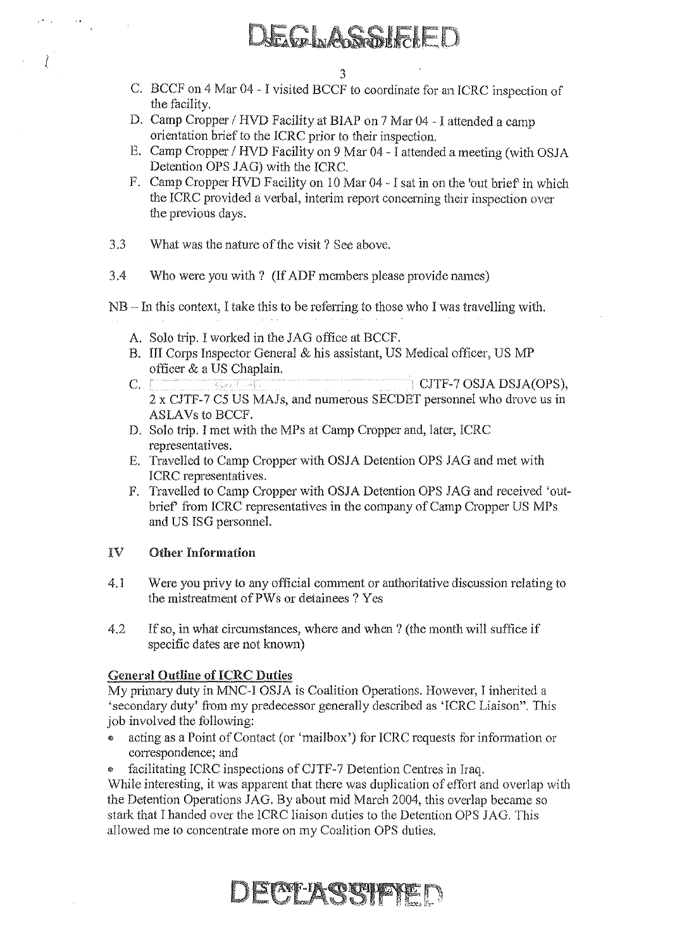### AE CELAGESTREEK

- C. BCCF on 4 Mar 04 I visited BCCF to coordinate for an ICRC inspection of the facility.
- D. Camp Cropper / HVD Facility at BIAP on 7 Mar 04 I attended a camp orientation brief to the ICRC prior to their inspection.
- E. Camp Cropper / HVD Facility on 9 Mar 04 I attended a meeting (with OSJA Detention OPS JAG) with the ICRC.
- F. Camp Cropper HVD Facility on 10 Mar 04 I sat in on the 'out brief in which the ICRC provided a verbal, interim report concerning their inspection over the previous days.
- 3.3 What was the nature of the visit? See above.
- 3.4 Who were you with? (If ADF members please provide names)

NB - In this context, I take this to be referring to those who I was travelling with.

- A. Solo trip. I worked in the JAG office at BCCF.
- B. III Corps Inspector General & his assistant, US Medical officer, US MP officer & a US Chaplain.
- C.  $\Box$  Section 1 CJTF-7 OSJA DSJA(OPS), 2 x CJTF-7 C5 US MAJs, and numerous SECDET personnel who drove us in ASLAVs to BCCF.
- D. Solo trip. I met with the MPs at Camp Cropper and, later, ICRC representatives.
- E. Travelled to Camp Cropper with OSJA Detention OPS JAG and met with ICRC representatives.
- F. Travelled to Camp Cropper with OSJA Detention OPS JAG and received 'outbrief' from ICRC representatives in the company of Camp Cropper US MPs and US ISG personnel.

#### IV Other Information

I

- 4.1 Were you privy to any official comment or authoritative discussion relating to the mistreatment ofPWs or detainees? Yes
- 4.2 If so, in what circumstances, where and when? (the month will suffice if specific dates are not known)

#### **General Outline of ICRC Duties**

My primary duty in MNC-I OSJA is Coalition Operations. However, I inherited a 'secondary duty' from my predecessor generally described as 'ICRC Liaison". This job involved the following:

- ., acting as a Point of Contact (or 'maiIbox') for ICRC requests for information or correspondence; and
- facilitating ICRC inspections of CJTF-7 Detention Centres in Iraq.

While interesting, it was apparent that there was duplication of effort and overlap with the Detention Operations JAG. By about mid March 2004, this overlap became so stark that I handed over the ICRC liaison duties to the Detention OPS JAG. This allowed me to concentrate more on my Coalition OPS duties.

**DECEASSIPED**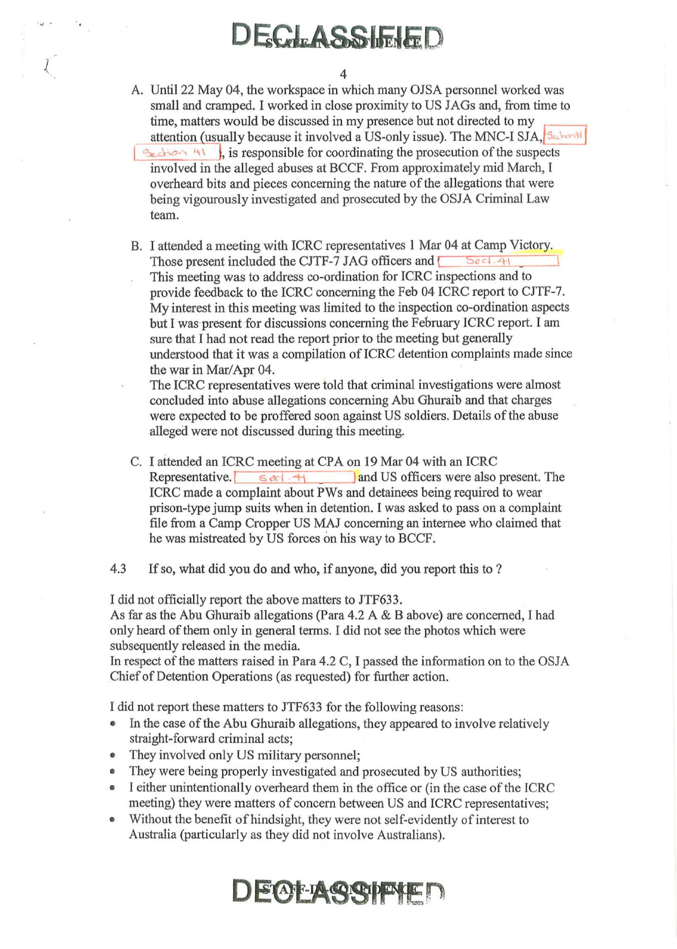### DECLASSIFIED

A. Until 22 May 04, the workspace in which many OJSA personnel worked was small and cramped. I worked in close proximity to US JAGs and, from time to time, matters would be discussed in my presence but not directed to my attention (usually because it involved a US-only issue). The MNC-I SJA,  $\beta \epsilon_c$ <sup>3</sup>  $\frac{1}{2}$  , is responsible for coordinating the prosecution of the suspects involved in the alleged abuses at BCCF. From approximately mid March, I overheard bits and pieces concerning the nature of the allegations that were being vigourously investigated and prosecuted by the OSJA Criminal Law team.

B. I attended a meeting with ICRC representatives 1 Mar 04 at Camp Victory. Those present included the CJTF-7 JAG officers and  $\sqrt{5e^{-1.4t}}$ This meeting was to address co-ordination for ICRC inspections and to provide feedback to the ICRC concerning the Feb 04 ICRC report to CJTF-7. My interest in this meeting was limited to the inspection co-ordination aspects but I was present for discussions concerning the February ICRC report. I am sure that I had not read the report prior to the meeting but generally understood that it was a compilation of ICRC detention complaints made since the war in Mar/Apr 04.

The ICRC representatives were told that criminal investigations were almost concluded into abuse allegations concerning Abu Ghuraib and that charges were expected to be proffered soon against US soldiers. Details of the abuse alleged were not discussed during this meeting.

C. I attended an ICRC meeting at CPA on 19 Mar 04 with an ICRC Representative.  $\begin{array}{|c|c|c|c|c|c|}\n\hline\n & & \text{and US officers were also present.} \\
\hline\n\end{array}$ ICRC made a complaint about PWs and detainees being required to wear prison-type jump suits when in detention. I was asked to pass on a complaint file from a Camp Cropper US MAJ concerning an internee who claimed that he was mistreated by US forces on his way to BCCF.

4.3 If so, what did you do and who, if anyone, did you report this to ?

I did not officially report the above matters to JTF633.

As far as the Abu Ghuraib allegations (Para 4.2 A & B above) are concerned, I had only heard of them only in general terms. I did not see the photos which were subsequently released in the media.

In respect of the matters raised in Para 4.2 C, I passed the information on to the OSJA Chief of Detention Operations (as requested) for further action.

I did not report these matters to JTF633 for the following reasons:

- In the case of the Abu Ghuraib allegations, they appeared to involve relatively straight-forward criminal acts;
- They involved only US military personnel;
- They were being properly investigated and prosecuted by US authorities;
- I either unintentionally overheard them in the office or (in the case of the ICRC meeting) they were matters of concern between US and ICRC representatives;
- Without the benefit of hindsight, they were not self-evidently of interest to Australia (particularly as they did not involve Australians).

### **DECT ASSPEN**